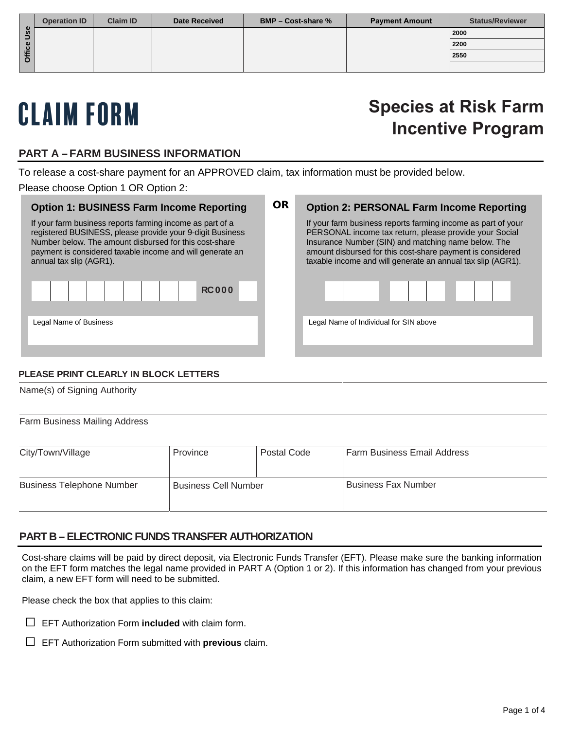|   | <b>Operation ID</b> | <b>Claim ID</b> | <b>Date Received</b> | <b>BMP – Cost-share %</b> | <b>Payment Amount</b> | <b>Status/Reviewer</b> |
|---|---------------------|-----------------|----------------------|---------------------------|-----------------------|------------------------|
|   |                     |                 |                      |                           |                       | 2000                   |
|   |                     |                 |                      |                           |                       | 2200                   |
| Ξ |                     |                 |                      |                           |                       | 2550                   |
|   |                     |                 |                      |                           |                       |                        |

# CLAIM FORM

# **Species at Risk Farm Incentive Program**

### **PART A – FARM BUSINESS INFORMATION**

To release a cost-share payment for an APPROVED claim, tax information must be provided below.

Please choose Option 1 OR Option 2:

| <b>OR</b> | <b>Option 2: PERSONAL Farm Income Reporting</b>                                                                                                                                                                                                                                                            |  |  |
|-----------|------------------------------------------------------------------------------------------------------------------------------------------------------------------------------------------------------------------------------------------------------------------------------------------------------------|--|--|
|           | If your farm business reports farming income as part of your<br>PERSONAL income tax return, please provide your Social<br>Insurance Number (SIN) and matching name below. The<br>amount disbursed for this cost-share payment is considered<br>taxable income and will generate an annual tax slip (AGR1). |  |  |
|           | .                                                                                                                                                                                                                                                                                                          |  |  |
|           | Legal Name of Individual for SIN above                                                                                                                                                                                                                                                                     |  |  |
|           |                                                                                                                                                                                                                                                                                                            |  |  |

#### **PLEASE PRINT CLEARLY IN BLOCK LETTERS**

Name(s) of Signing Authority

Farm Business Mailing Address

| City/Town/Village                | Province                    | Postal Code | <b>Farm Business Email Address</b> |
|----------------------------------|-----------------------------|-------------|------------------------------------|
| <b>Business Telephone Number</b> | <b>Business Cell Number</b> |             | l Business Fax Number              |

#### **PART B – ELECTRONIC FUNDS TRANSFER AUTHORIZATION**

Cost-share claims will be paid by direct deposit, via Electronic Funds Transfer (EFT). Please make sure the banking information on the EFT form matches the legal name provided in PART A (Option 1 or 2). If this information has changed from your previous claim, a new EFT form will need to be submitted.

Please check the box that applies to this claim:

- □ EFT Authorization Form **included** with claim form.
- □ EFT Authorization Form submitted with **previous** claim.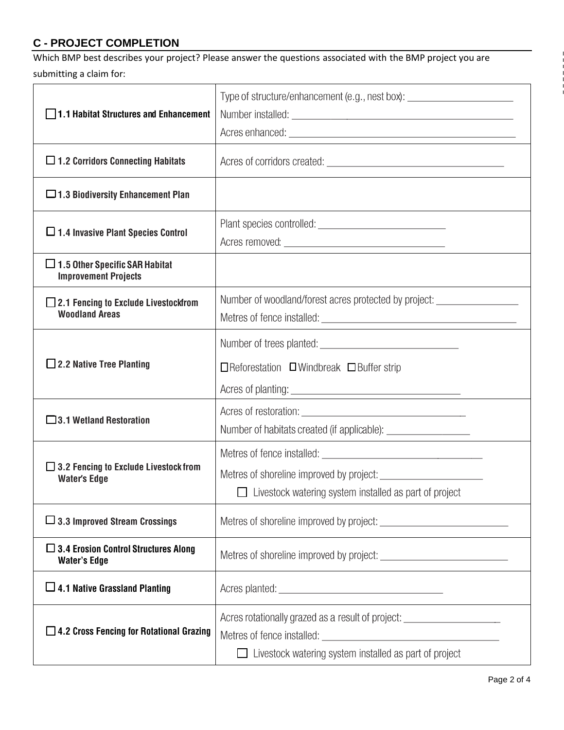# **C - PROJECT COMPLETION**

Which BMP best describes your project? Please answer the questions associated with the BMP project you are submitting a claim for:

|                                                                      | Type of structure/enhancement (e.g., nest box): ________________________________ |  |
|----------------------------------------------------------------------|----------------------------------------------------------------------------------|--|
| 1.1 Habitat Structures and Enhancement                               |                                                                                  |  |
|                                                                      |                                                                                  |  |
| $\Box$ 1.2 Corridors Connecting Habitats                             |                                                                                  |  |
| $\square$ 1.3 Biodiversity Enhancement Plan                          |                                                                                  |  |
|                                                                      |                                                                                  |  |
| □ 1.4 Invasive Plant Species Control                                 |                                                                                  |  |
| $\Box$ 1.5 Other Specific SAR Habitat<br><b>Improvement Projects</b> |                                                                                  |  |
| $\Box$ 2.1 Fencing to Exclude Livestockfrom                          | Number of woodland/forest acres protected by project: __________________________ |  |
| <b>Woodland Areas</b>                                                |                                                                                  |  |
|                                                                      |                                                                                  |  |
| $\Box$ 2.2 Native Tree Planting                                      | $\Box$ Reforestation $\Box$ Windbreak $\Box$ Buffer strip                        |  |
|                                                                      |                                                                                  |  |
|                                                                      |                                                                                  |  |
| $\Box$ 3.1 Wetland Restoration                                       |                                                                                  |  |
|                                                                      |                                                                                  |  |
| $\Box$ 3.2 Fencing to Exclude Livestock from                         |                                                                                  |  |
| <b>Water's Edge</b>                                                  |                                                                                  |  |
|                                                                      | $\Box$ Livestock watering system installed as part of project                    |  |
| $\Box$ 3.3 Improved Stream Crossings                                 |                                                                                  |  |
| $\Box$ 3.4 Erosion Control Structures Along<br><b>Water's Edge</b>   |                                                                                  |  |
| $\Box$ 4.1 Native Grassland Planting                                 |                                                                                  |  |
|                                                                      | Acres rotationally grazed as a result of project: ______________________________ |  |
| $\Box$ 4.2 Cross Fencing for Rotational Grazing                      |                                                                                  |  |
|                                                                      | Livestock watering system installed as part of project                           |  |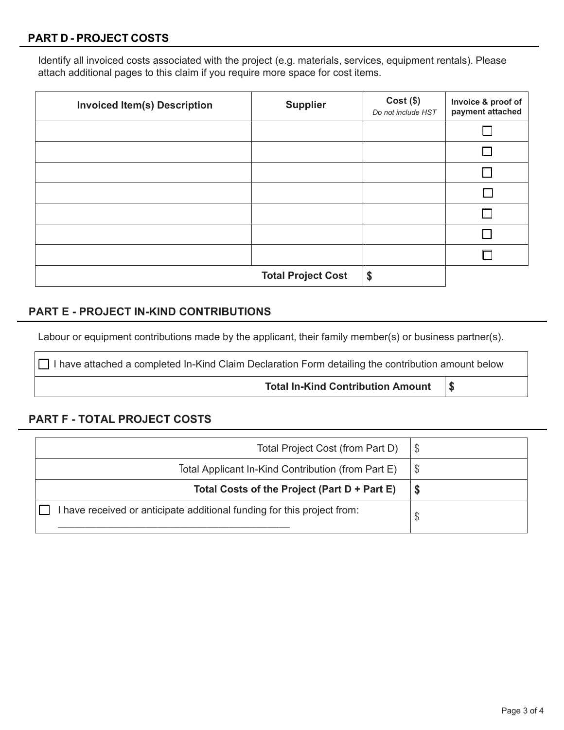#### **PART D - PROJECT COSTS**

Identify all invoiced costs associated with the project (e.g. materials, services, equipment rentals). Please attach additional pages to this claim if you require more space for cost items.

| <b>Invoiced Item(s) Description</b> | <b>Supplier</b>           | $Cost($ \$)<br>Do not include HST | Invoice & proof of<br>payment attached |
|-------------------------------------|---------------------------|-----------------------------------|----------------------------------------|
|                                     |                           |                                   |                                        |
|                                     |                           |                                   |                                        |
|                                     |                           |                                   |                                        |
|                                     |                           |                                   |                                        |
|                                     |                           |                                   |                                        |
|                                     |                           |                                   |                                        |
|                                     |                           |                                   |                                        |
|                                     | <b>Total Project Cost</b> | \$                                |                                        |

#### **PART E - PROJECT IN-KIND CONTRIBUTIONS**

Labour or equipment contributions made by the applicant, their family member(s) or business partner(s).

 $\Box$  I have attached a completed In-Kind Claim Declaration Form detailing the contribution amount below

**Total In-Kind Contribution Amount \$**

#### **PART F - TOTAL PROJECT COSTS**

| Total Project Cost (from Part D)                                        | \$ |
|-------------------------------------------------------------------------|----|
| Total Applicant In-Kind Contribution (from Part E)                      | \$ |
| Total Costs of the Project (Part D + Part E)                            |    |
| I have received or anticipate additional funding for this project from: | Φ  |